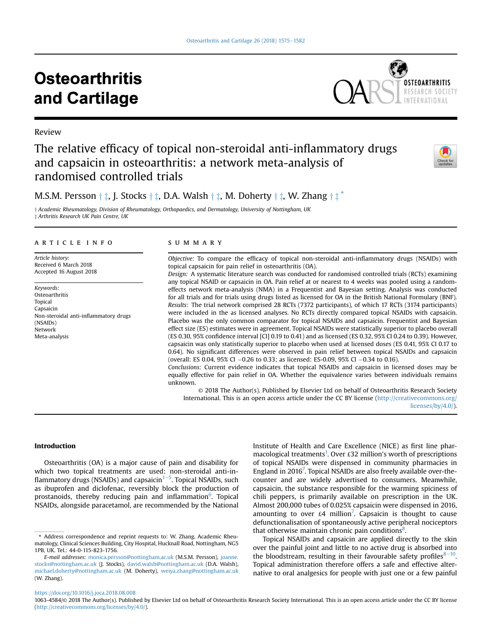# **Osteoarthritis** and Cartilage



# Review

# The relative efficacy of topical non-steroidal anti-inflammatory drugs and capsaicin in osteoarthritis: a network meta-analysis of randomised controlled trials



# M.S.M. Persson  $\dagger \ddagger$ , J. Stocks  $\dagger \ddagger$ , D.A. Walsh  $\dagger \ddagger$ , M. Doherty  $\dagger \ddagger$ , W. Zhang  $\dagger \ddagger$

 $\dagger$  Academic Rheumatology, Division of Rheumatology, Orthopaedics, and Dermatology, University of Nottingham, UK z Arthritis Research UK Pain Centre, UK

#### article info

Article history: Received 6 March 2018 Accepted 16 August 2018

Keywords: **Osteoarthritis** Topical Capsaicin Non-steroidal anti-inflammatory drugs (NSAIDs) Network Meta-analysis

# SUMMARY

Objective: To compare the efficacy of topical non-steroidal anti-inflammatory drugs (NSAIDs) with topical capsaicin for pain relief in osteoarthritis (OA).

Design: A systematic literature search was conducted for randomised controlled trials (RCTs) examining any topical NSAID or capsaicin in OA. Pain relief at or nearest to 4 weeks was pooled using a randomeffects network meta-analysis (NMA) in a Frequentist and Bayesian setting. Analysis was conducted for all trials and for trials using drugs listed as licensed for OA in the British National Formulary (BNF). Results: The trial network comprised 28 RCTs (7372 participants), of which 17 RCTs (3174 participants) were included in the as licensed analyses. No RCTs directly compared topical NSAIDs with capsaicin. Placebo was the only common comparator for topical NSAIDs and capsaicin. Frequentist and Bayesian effect size (ES) estimates were in agreement. Topical NSAIDs were statistically superior to placebo overall (ES 0.30, 95% confidence interval [CI] 0.19 to 0.41) and as licensed (ES 0.32, 95% CI 0.24 to 0.39). However, capsaicin was only statistically superior to placebo when used at licensed doses (ES 0.41, 95% CI 0.17 to 0.64). No significant differences were observed in pain relief between topical NSAIDs and capsaicin (overall: ES 0.04, 95% CI  $-0.26$  to 0.33; as licensed: ES-0.09, 95% CI  $-0.34$  to 0.16).

Conclusions: Current evidence indicates that topical NSAIDs and capsaicin in licensed doses may be equally effective for pain relief in OA. Whether the equivalence varies between individuals remains unknown.

© 2018 The Author(s). Published by Elsevier Ltd on behalf of Osteoarthritis Research Society International. This is an open access article under the CC BY license ([http://creativecommons.org/](http://creativecommons.org/licenses/by/4.0/) [licenses/by/4.0/](http://creativecommons.org/licenses/by/4.0/)).

# Introduction

Osteoarthritis (OA) is a major cause of pain and disability for which two topical treatments are used: non-steroidal anti-in-flammatory drugs (NSAIDs) and capsaicin<sup>[1](#page-4-0)–[5](#page-4-0)</sup>. Topical NSAIDs, such as ibuprofen and diclofenac, reversibly block the production of prostanoids, thereby reducing pain and inflammation<sup>[6](#page-5-0)</sup>. Topical NSAIDs, alongside paracetamol, are recommended by the National

Institute of Health and Care Excellence (NICE) as first line pharmacological treatments<sup>1</sup>. Over £32 million's worth of prescriptions of topical NSAIDs were dispensed in community pharmacies in England in 2016<sup>7</sup>. Topical NSAIDs are also freely available over-thecounter and are widely advertised to consumers. Meanwhile, capsaicin, the substance responsible for the warming spiciness of chili peppers, is primarily available on prescription in the UK. Almost 200,000 tubes of 0.025% capsaicin were dispensed in 2016, amounting to over  $\pounds 4$  million<sup>[7](#page-5-0)</sup>. Capsaicin is thought to cause defunctionalisation of spontaneously active peripheral nociceptors that otherwise maintain chronic pain conditions $8$ .

Topical NSAIDs and capsaicin are applied directly to the skin over the painful joint and little to no active drug is absorbed into the bloodstream, resulting in their favourable safety profiles $8-10$  $8-10$ . Topical administration therefore offers a safe and effective alternative to oral analgesics for people with just one or a few painful

<https://doi.org/10.1016/j.joca.2018.08.008>

<sup>\*</sup> Address correspondence and reprint requests to: W. Zhang, Academic Rheumatology, Clinical Sciences Building, City Hospital, Hucknall Road, Nottingham, NG5 1PB, UK. Tel.: 44-0-115-823-1756.

E-mail addresses: [monica.persson@nottingham.ac.uk](mailto:monica.persson@nottingham.ac.uk) (M.S.M. Persson), [joanne.](mailto:joanne.stocks@nottingham.ac.uk) [stocks@nottingham.ac.uk](mailto:joanne.stocks@nottingham.ac.uk) (J. Stocks), [david.walsh@nottingham.ac.uk](mailto:david.walsh@nottingham.ac.uk) (D.A. Walsh), [michael.doherty@nottingham.ac.uk](mailto:michael.doherty@nottingham.ac.uk) (M. Doherty), [weiya.zhang@nottingham.ac.uk](mailto:weiya.zhang@nottingham.ac.uk) (W. Zhang).

<sup>1063-4584/</sup>© 2018 The Author(s). Published by Elsevier Ltd on behalf of Osteoarthritis Research Society International. This is an open access article under the CC BY license ([http://creativecommons.org/licenses/by/4.0/\)](http://creativecommons.org/licenses/by/4.0/).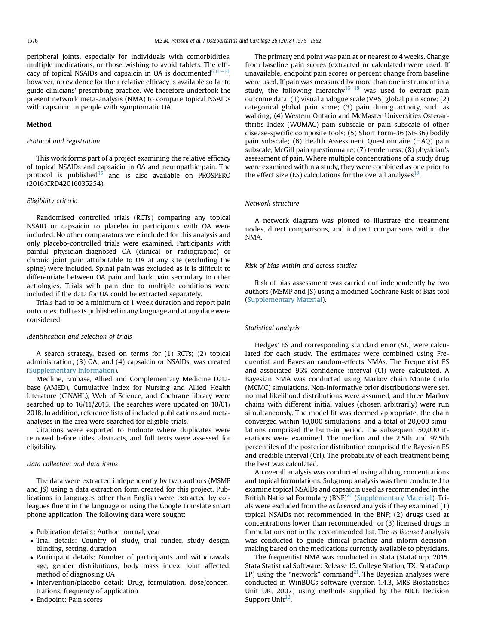peripheral joints, especially for individuals with comorbidities, multiple medications, or those wishing to avoid tablets. The efficacy of topical NSAIDs and capsaicin in OA is documented $6,11-14$  $6,11-14$ , however, no evidence for their relative efficacy is available so far to guide clinicians' prescribing practice. We therefore undertook the present network meta-analysis (NMA) to compare topical NSAIDs with capsaicin in people with symptomatic OA.

# Method

# Protocol and registration

This work forms part of a project examining the relative efficacy of topical NSAIDs and capsaicin in OA and neuropathic pain. The protocol is published $15$  and is also available on PROSPERO (2016:CRD42016035254).

# Eligibility criteria

Randomised controlled trials (RCTs) comparing any topical NSAID or capsaicin to placebo in participants with OA were included. No other comparators were included for this analysis and only placebo-controlled trials were examined. Participants with painful physician-diagnosed OA (clinical or radiographic) or chronic joint pain attributable to OA at any site (excluding the spine) were included. Spinal pain was excluded as it is difficult to differentiate between OA pain and back pain secondary to other aetiologies. Trials with pain due to multiple conditions were included if the data for OA could be extracted separately.

Trials had to be a minimum of 1 week duration and report pain outcomes. Full texts published in any language and at any date were considered.

# Identification and selection of trials

A search strategy, based on terms for (1) RCTs; (2) topical administration; (3) OA; and (4) capsaicin or NSAIDs, was created (Supplementary Information).

Medline, Embase, Allied and Complementary Medicine Database (AMED), Cumulative Index for Nursing and Allied Health Literature (CINAHL), Web of Science, and Cochrane library were searched up to 16/11/2015. The searches were updated on 10/01/ 2018. In addition, reference lists of included publications and metaanalyses in the area were searched for eligible trials.

Citations were exported to Endnote where duplicates were removed before titles, abstracts, and full texts were assessed for eligibility.

#### Data collection and data items

The data were extracted independently by two authors (MSMP and JS) using a data extraction form created for this project. Publications in languages other than English were extracted by colleagues fluent in the language or using the Google Translate smart phone application. The following data were sought:

- Publication details: Author, journal, year
- Trial details: Country of study, trial funder, study design, blinding, setting, duration
- Participant details: Number of participants and withdrawals, age, gender distributions, body mass index, joint affected, method of diagnosing OA
- Intervention/placebo detail: Drug, formulation, dose/concentrations, frequency of application
- Endpoint: Pain scores

The primary end point was pain at or nearest to 4 weeks. Change from baseline pain scores (extracted or calculated) were used. If unavailable, endpoint pain scores or percent change from baseline were used. If pain was measured by more than one instrument in a study, the following hierarchy $16-18$  $16-18$  $16-18$  was used to extract pain outcome data: (1) visual analogue scale (VAS) global pain score; (2) categorical global pain score; (3) pain during activity, such as walking; (4) Western Ontario and McMaster Universities Osteoarthritis Index (WOMAC) pain subscale or pain subscale of other disease-specific composite tools; (5) Short Form-36 (SF-36) bodily pain subscale; (6) Health Assessment Questionnaire (HAQ) pain subscale, McGill pain questionnaire; (7) tenderness; (8) physician's assessment of pain. Where multiple concentrations of a study drug were examined within a study, they were combined as one prior to the effect size (ES) calculations for the overall analyses $19$ .

# Network structure

A network diagram was plotted to illustrate the treatment nodes, direct comparisons, and indirect comparisons within the NMA.

# Risk of bias within and across studies

Risk of bias assessment was carried out independently by two authors (MSMP and JS) using a modified Cochrane Risk of Bias tool (Supplementary Material).

# Statistical analysis

Hedges' ES and corresponding standard error (SE) were calculated for each study. The estimates were combined using Frequentist and Bayesian random-effects NMAs. The Frequentist ES and associated 95% confidence interval (CI) were calculated. A Bayesian NMA was conducted using Markov chain Monte Carlo (MCMC) simulations. Non-informative prior distributions were set, normal likelihood distributions were assumed, and three Markov chains with different initial values (chosen arbitrarily) were run simultaneously. The model fit was deemed appropriate, the chain converged within 10,000 simulations, and a total of 20,000 simulations comprised the burn-in period. The subsequent 50,000 iterations were examined. The median and the 2.5th and 97.5th percentiles of the posterior distribution comprised the Bayesian ES and credible interval (CrI). The probability of each treatment being the best was calculated.

An overall analysis was conducted using all drug concentrations and topical formulations. Subgroup analysis was then conducted to examine topical NSAIDs and capsaicin used as recommended in the British National Formulary (BNF)<sup>[20](#page-5-0)</sup> (Supplementary Material). Trials were excluded from the as licensed analysis if they examined (1) topical NSAIDs not recommended in the BNF; (2) drugs used at concentrations lower than recommended; or (3) licensed drugs in formulations not in the recommended list. The as licensed analysis was conducted to guide clinical practice and inform decisionmaking based on the medications currently available to physicians.

The frequentist NMA was conducted in Stata (StataCorp. 2015. Stata Statistical Software: Release 15. College Station, TX: StataCorp LP) using the "network" command<sup>21</sup>. The Bayesian analyses were conducted in WinBUGs software (version 1.4.3, MRS Biostatistics Unit UK, 2007) using methods supplied by the NICE Decision Support Unit<sup>22</sup>.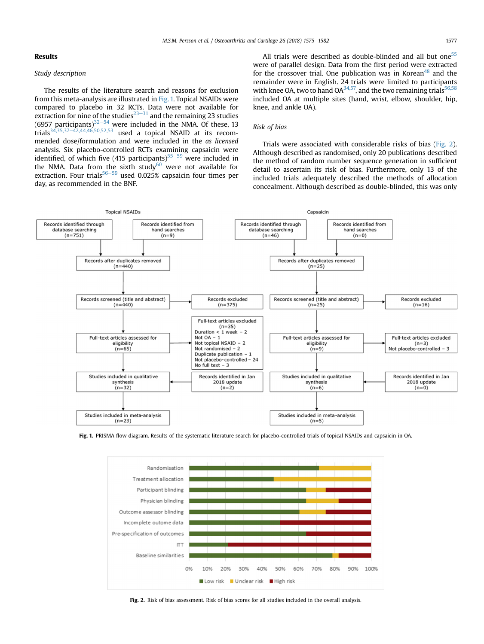# Results

# Study description

The results of the literature search and reasons for exclusion from this meta-analysis are illustrated in Fig. 1. Topical NSAIDs were compared to placebo in 32 RCTs. Data were not available for extraction for nine of the studies $^{23-31}$  $^{23-31}$  $^{23-31}$  $^{23-31}$  $^{23-31}$  and the remaining 23 studies  $(6957$  participants)<sup>[32](#page-5-0)–[54](#page-5-0)</sup> were included in the NMA. Of these, 13 trials<sup>[34,35,37](#page-6-0)–[42,44,46,50,52,53](#page-6-0)</sup> used a topical NSAID at its recommended dose/formulation and were included in the as licensed analysis. Six placebo-controlled RCTs examining capsaicin were identified, of which five (415 participants)<sup>[55](#page-6-0)–[59](#page-6-0)</sup> were included in the NMA. Data from the sixth study<sup>[60](#page-7-0)</sup> were not available for extraction. Four trials<sup>[56](#page-6-0)–[59](#page-6-0)</sup> used 0.025% capsaicin four times per day, as recommended in the BNF.

All trials were described as double-blinded and all but one<sup>55</sup> were of parallel design. Data from the first period were extracted for the crossover trial. One publication was in Korean $48$  and the remainder were in English. 24 trials were limited to participants with knee OA, two to hand OA $^{34,57}$ , and the two remaining trials $^{56,58}$  $^{56,58}$  $^{56,58}$ included OA at multiple sites (hand, wrist, elbow, shoulder, hip, knee, and ankle OA).

# Risk of bias

Trials were associated with considerable risks of bias (Fig. 2). Although described as randomised, only 20 publications described the method of random number sequence generation in sufficient detail to ascertain its risk of bias. Furthermore, only 13 of the included trials adequately described the methods of allocation concealment. Although described as double-blinded, this was only



Fig. 1. PRISMA flow diagram. Results of the systematic literature search for placebo-controlled trials of topical NSAIDs and capsaicin in OA.



Fig. 2. Risk of bias assessment. Risk of bias scores for all studies included in the overall analysis.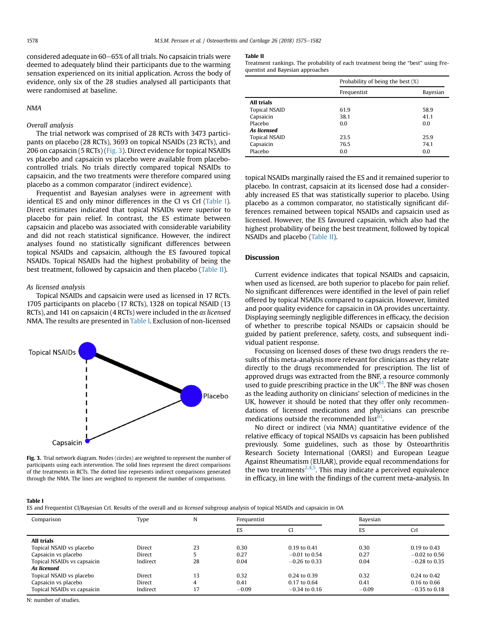considered adequate in 60–65% of all trials. No capsaicin trials were deemed to adequately blind their participants due to the warming sensation experienced on its initial application. Across the body of evidence, only six of the 28 studies analysed all participants that were randomised at baseline.

# NMA

Overall analysis

The trial network was comprised of 28 RCTs with 3473 participants on placebo (28 RCTs), 3693 on topical NSAIDs (23 RCTs), and 206 on capsaicin (5 RCTs) (Fig. 3). Direct evidence for topical NSAIDs vs placebo and capsaicin vs placebo were available from placebocontrolled trials. No trials directly compared topical NSAIDs to capsaicin, and the two treatments were therefore compared using placebo as a common comparator (indirect evidence).

Frequentist and Bayesian analyses were in agreement with identical ES and only minor differences in the CI vs CrI (Table I). Direct estimates indicated that topical NSAIDs were superior to placebo for pain relief. In contrast, the ES estimate between capsaicin and placebo was associated with considerable variability and did not reach statistical significance. However, the indirect analyses found no statistically significant differences between topical NSAIDs and capsaicin, although the ES favoured topical NSAIDs. Topical NSAIDs had the highest probability of being the best treatment, followed by capsaicin and then placebo (Table II).

# As licensed analysis

Topical NSAIDs and capsaicin were used as licensed in 17 RCTs. 1705 participants on placebo (17 RCTs), 1328 on topical NSAID (13 RCTs), and 141 on capsaicin (4 RCTs) were included in the as licensed NMA. The results are presented in Table I. Exclusion of non-licensed



Fig. 3. Trial network diagram. Nodes (circles) are weighted to represent the number of participants using each intervention. The solid lines represent the direct comparisons of the treatments in RCTs. The dotted line represents indirect comparisons generated through the NMA. The lines are weighted to represent the number of comparisons.

#### Table II

Treatment rankings. The probability of each treatment being the "best" using Frequentist and Bayesian approaches

|                      | Probability of being the best (%) |          |  |
|----------------------|-----------------------------------|----------|--|
|                      | Frequentist                       | Bayesian |  |
| <b>All trials</b>    |                                   |          |  |
| <b>Topical NSAID</b> | 61.9                              | 58.9     |  |
| Capsaicin            | 38.1                              | 41.1     |  |
| Placebo              | 0.0                               | 0.0      |  |
| As licensed          |                                   |          |  |
| <b>Topical NSAID</b> | 23.5                              | 25.9     |  |
| Capsaicin            | 76.5                              | 74.1     |  |
| Placebo              | 0.0                               | 0.0      |  |

topical NSAIDs marginally raised the ES and it remained superior to placebo. In contrast, capsaicin at its licensed dose had a considerably increased ES that was statistically superior to placebo. Using placebo as a common comparator, no statistically significant differences remained between topical NSAIDs and capsaicin used as licensed. However, the ES favoured capsaicin, which also had the highest probability of being the best treatment, followed by topical NSAIDs and placebo (Table II).

# Discussion

Current evidence indicates that topical NSAIDs and capsaicin, when used as licensed, are both superior to placebo for pain relief. No significant differences were identified in the level of pain relief offered by topical NSAIDs compared to capsaicin. However, limited and poor quality evidence for capsaicin in OA provides uncertainty. Displaying seemingly negligible differences in efficacy, the decision of whether to prescribe topical NSAIDs or capsaicin should be guided by patient preference, safety, costs, and subsequent individual patient response.

Focussing on licensed doses of these two drugs renders the results of this meta-analysis more relevant for clinicians as they relate directly to the drugs recommended for prescription. The list of approved drugs was extracted from the BNF, a resource commonly used to guide prescribing practice in the UK $^{61}$ . The BNF was chosen as the leading authority on clinicians' selection of medicines in the UK, however it should be noted that they offer only recommendations of licensed medications and physicians can prescribe medications outside the recommended list $61$ .

No direct or indirect (via NMA) quantitative evidence of the relative efficacy of topical NSAIDs vs capsaicin has been published previously. Some guidelines, such as those by Osteoarthritis Research Society International (OARSI) and European League Against Rheumatism (EULAR), provide equal recommendations for the two treatments<sup>2,4,5</sup>. This may indicate a perceived equivalence in efficacy, in line with the findings of the current meta-analysis. In

# Table I

ES and Frequentist CI/Bayesian CrI. Results of the overall and as licensed subgroup analysis of topical NSAIDs and capsaicin in OA

| Comparison                  | Type          | N  | Frequentist |                  | Bayesian |                  |
|-----------------------------|---------------|----|-------------|------------------|----------|------------------|
|                             |               |    | ES          | C                | ES       | CrI              |
| All trials                  |               |    |             |                  |          |                  |
| Topical NSAID vs placebo    | Direct        | 23 | 0.30        | $0.19$ to $0.41$ | 0.30     | 0.19 to 0.43     |
| Capsaicin vs placebo        | Direct        |    | 0.27        | $-0.01$ to 0.54  | 0.27     | $-0.02$ to 0.56  |
| Topical NSAIDs vs capsaicin | Indirect      | 28 | 0.04        | $-0.26$ to 0.33  | 0.04     | $-0.28$ to 0.35  |
| As licensed                 |               |    |             |                  |          |                  |
| Topical NSAID vs placebo    | Direct        | 13 | 0.32        | $0.24$ to $0.39$ | 0.32     | $0.24$ to $0.42$ |
| Capsaicin vs placebo        | <b>Direct</b> | 4  | 0.41        | $0.17$ to $0.64$ | 0.41     | $0.16$ to $0.66$ |
| Topical NSAIDs vs capsaicin | Indirect      | 17 | $-0.09$     | $-0.34$ to 0.16  | $-0.09$  | $-0.35$ to 0.18  |

N: number of studies.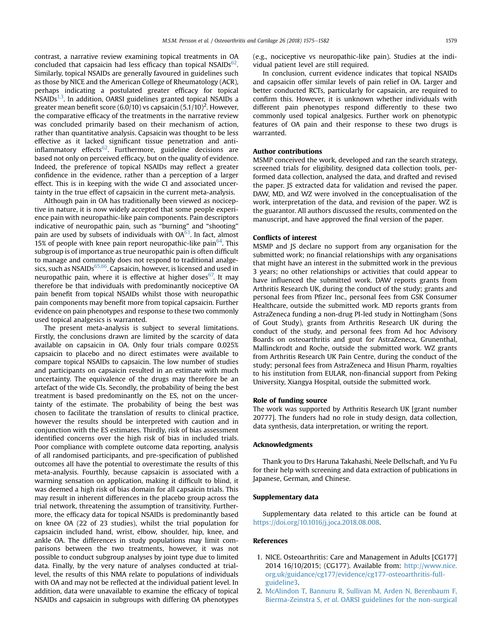<span id="page-4-0"></span>contrast, a narrative review examining topical treatments in OA concluded that capsaicin had less efficacy than topical NSAIDs $^{62}$ . Similarly, topical NSAIDs are generally favoured in guidelines such as those by NICE and the American College of Rheumatology (ACR), perhaps indicating a postulated greater efficacy for topical  $NSAIDS^{1,3}$ . In addition, OARSI guidelines granted topical NSAIDs a greater mean benefit score (6.0/10) vs capsaicin (5.1/10) $^2$ . However, the comparative efficacy of the treatments in the narrative review was concluded primarily based on their mechanism of action, rather than quantitative analysis. Capsaicin was thought to be less effective as it lacked significant tissue penetration and anti-inflammatory effects<sup>[62](#page-7-0)</sup>. Furthermore, guideline decisions are based not only on perceived efficacy, but on the quality of evidence. Indeed, the preference of topical NSAIDs may reflect a greater confidence in the evidence, rather than a perception of a larger effect. This is in keeping with the wide CI and associated uncertainty in the true effect of capsaicin in the current meta-analysis.

Although pain in OA has traditionally been viewed as nociceptive in nature, it is now widely accepted that some people experience pain with neuropathic-like pain components. Pain descriptors indicative of neuropathic pain, such as "burning" and "shooting" pain are used by subsets of individuals with OA<sup>[63](#page-7-0)</sup>. In fact, almost 15% of people with knee pain report neuropathic-like pain  $64$ . This subgroup is of importance as true neuropathic pain is often difficult to manage and commonly does not respond to traditional analgesics, such as NSAIDs<sup>65,66</sup>. Capsaicin, however, is licensed and used in neuropathic pain, where it is effective at higher doses  $67$ . It may therefore be that individuals with predominantly nociceptive OA pain benefit from topical NSAIDs whilst those with neuropathic pain components may benefit more from topical capsaicin. Further evidence on pain phenotypes and response to these two commonly used topical analgesics is warranted.

The present meta-analysis is subject to several limitations. Firstly, the conclusions drawn are limited by the scarcity of data available on capsaicin in OA. Only four trials compare 0.025% capsaicin to placebo and no direct estimates were available to compare topical NSAIDs to capsaicin. The low number of studies and participants on capsaicin resulted in an estimate with much uncertainty. The equivalence of the drugs may therefore be an artefact of the wide CIs. Secondly, the probability of being the best treatment is based predominantly on the ES, not on the uncertainty of the estimate. The probability of being the best was chosen to facilitate the translation of results to clinical practice, however the results should be interpreted with caution and in conjunction with the ES estimates. Thirdly, risk of bias assessment identified concerns over the high risk of bias in included trials. Poor compliance with complete outcome data reporting, analysis of all randomised participants, and pre-specification of published outcomes all have the potential to overestimate the results of this meta-analysis. Fourthly, because capsaicin is associated with a warming sensation on application, making it difficult to blind, it was deemed a high risk of bias domain for all capsaicin trials. This may result in inherent differences in the placebo group across the trial network, threatening the assumption of transitivity. Furthermore, the efficacy data for topical NSAIDs is predominantly based on knee OA (22 of 23 studies), whilst the trial population for capsaicin included hand, wrist, elbow, shoulder, hip, knee, and ankle OA. The differences in study populations may limit comparisons between the two treatments, however, it was not possible to conduct subgroup analyses by joint type due to limited data. Finally, by the very nature of analyses conducted at triallevel, the results of this NMA relate to populations of individuals with OA and may not be reflected at the individual patient level. In addition, data were unavailable to examine the efficacy of topical NSAIDs and capsaicin in subgroups with differing OA phenotypes (e.g., nociceptive vs neuropathic-like pain). Studies at the individual patient level are still required.

In conclusion, current evidence indicates that topical NSAIDs and capsaicin offer similar levels of pain relief in OA. Larger and better conducted RCTs, particularly for capsaicin, are required to confirm this. However, it is unknown whether individuals with different pain phenotypes respond differently to these two commonly used topical analgesics. Further work on phenotypic features of OA pain and their response to these two drugs is warranted.

# Author contributions

MSMP conceived the work, developed and ran the search strategy, screened trials for eligibility, designed data collection tools, performed data collection, analysed the data, and drafted and revised the paper. JS extracted data for validation and revised the paper. DAW, MD, and WZ were involved in the conceptualisation of the work, interpretation of the data, and revision of the paper. WZ is the guarantor. All authors discussed the results, commented on the manuscript, and have approved the final version of the paper.

# Conflicts of interest

MSMP and JS declare no support from any organisation for the submitted work; no financial relationships with any organisations that might have an interest in the submitted work in the previous 3 years; no other relationships or activities that could appear to have influenced the submitted work. DAW reports grants from Arthritis Research UK, during the conduct of the study; grants and personal fees from Pfizer Inc., personal fees from GSK Consumer Healthcare, outside the submitted work. MD reports grants from AstraZeneca funding a non-drug PI-led study in Nottingham (Sons of Gout Study), grants from Arthritis Research UK during the conduct of the study, and personal fees from Ad hoc Advisory Boards on osteoarthritis and gout for AstraZeneca, Grunenthal, Mallinckrodt and Roche, outside the submitted work. WZ grants from Arthritis Research UK Pain Centre, during the conduct of the study; personal fees from AstraZeneca and Hisun Pharm, royalties to his institution from EULAR, non-financial support from Peking University, Xiangya Hospital, outside the submitted work.

## Role of funding source

The work was supported by Arthritis Research UK [grant number 20777]. The funders had no role in study design, data collection, data synthesis, data interpretation, or writing the report.

#### Acknowledgments

Thank you to Drs Haruna Takahashi, Neele Dellschaft, and Yu Fu for their help with screening and data extraction of publications in Japanese, German, and Chinese.

#### Supplementary data

Supplementary data related to this article can be found at <https://doi.org/10.1016/j.joca.2018.08.008>.

# References

- 1. NICE. Osteoarthritis: Care and Management in Adults [CG177] 2014 16/10/2015; (CG177). Available from: [http://www.nice.](http://www.nice.org.uk/guidance/cg177/evidence/cg177-osteoarthritis-full-guideline3) [org.uk/guidance/cg177/evidence/cg177-osteoarthritis-full](http://www.nice.org.uk/guidance/cg177/evidence/cg177-osteoarthritis-full-guideline3)[guideline3.](http://www.nice.org.uk/guidance/cg177/evidence/cg177-osteoarthritis-full-guideline3)
- 2. [McAlindon T, Bannuru R, Sullivan M, Arden N, Berenbaum F,](http://refhub.elsevier.com/S1063-4584(18)31427-4/sref2) Bierma-Zeinstra S, et al[. OARSI guidelines for the non-surgical](http://refhub.elsevier.com/S1063-4584(18)31427-4/sref2)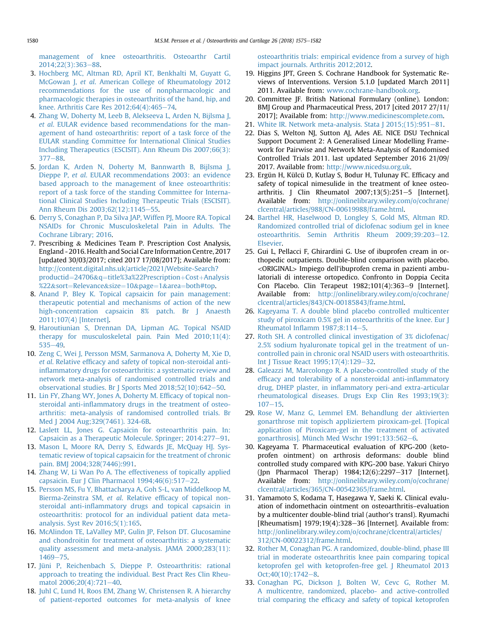<span id="page-5-0"></span>[management of knee osteoarthritis. Osteoarthr Cartil](http://refhub.elsevier.com/S1063-4584(18)31427-4/sref2) [2014;22\(3\):363](http://refhub.elsevier.com/S1063-4584(18)31427-4/sref2)-[88.](http://refhub.elsevier.com/S1063-4584(18)31427-4/sref2)

- 3. [Hochberg MC, Altman RD, April KT, Benkhalti M, Guyatt G,](http://refhub.elsevier.com/S1063-4584(18)31427-4/sref3) McGowan J, et al[. American College of Rheumatology 2012](http://refhub.elsevier.com/S1063-4584(18)31427-4/sref3) [recommendations for the use of nonpharmacologic and](http://refhub.elsevier.com/S1063-4584(18)31427-4/sref3) [pharmacologic therapies in osteoarthritis of the hand, hip, and](http://refhub.elsevier.com/S1063-4584(18)31427-4/sref3) knee. Arthritis Care Res  $2012:64(4):465-74$  $2012:64(4):465-74$ .
- 4. [Zhang W, Doherty M, Leeb B, Alekseeva L, Arden N, Bijlsma J,](http://refhub.elsevier.com/S1063-4584(18)31427-4/sref4) et al[. EULAR evidence based recommendations for the man](http://refhub.elsevier.com/S1063-4584(18)31427-4/sref4)[agement of hand osteoarthritis: report of a task force of the](http://refhub.elsevier.com/S1063-4584(18)31427-4/sref4) [EULAR standing Committee for International Clinical Studies](http://refhub.elsevier.com/S1063-4584(18)31427-4/sref4) [Including Therapeutics \(ESCISIT\). Ann Rheum Dis 2007;66\(3\):](http://refhub.elsevier.com/S1063-4584(18)31427-4/sref4)  $377 - 88.$  $377 - 88.$  $377 - 88.$
- 5. [Jordan K, Arden N, Doherty M, Bannwarth B, Bijlsma J,](http://refhub.elsevier.com/S1063-4584(18)31427-4/sref5) Dieppe P, et al[. EULAR recommendations 2003: an evidence](http://refhub.elsevier.com/S1063-4584(18)31427-4/sref5) [based approach to the management of knee osteoarthritis:](http://refhub.elsevier.com/S1063-4584(18)31427-4/sref5) [report of a task force of the standing Committee for Interna](http://refhub.elsevier.com/S1063-4584(18)31427-4/sref5)[tional Clinical Studies Including Therapeutic Trials \(ESCISIT\).](http://refhub.elsevier.com/S1063-4584(18)31427-4/sref5) [Ann Rheum Dis 2003;62\(12\):1145](http://refhub.elsevier.com/S1063-4584(18)31427-4/sref5)-[55.](http://refhub.elsevier.com/S1063-4584(18)31427-4/sref5)
- 6. [Derry S, Conaghan P, Da Silva JAP, Wiffen PJ, Moore RA. Topical](http://refhub.elsevier.com/S1063-4584(18)31427-4/sref6) [NSAIDs for Chronic Musculoskeletal Pain in Adults. The](http://refhub.elsevier.com/S1063-4584(18)31427-4/sref6) [Cochrane Library; 2016](http://refhub.elsevier.com/S1063-4584(18)31427-4/sref6).
- 7. Prescribing & Medicines Team P. Prescription Cost Analysis, England - 2016. Health and Social Care Information Centre, 2017 [updated 30/03/2017; cited 2017 17/08/2017]; Available from: [http://content.digital.nhs.uk/article/2021/Website-Search?](http://content.digital.nhs.uk/article/2021/Website-Search?productid=24706&q=title%3a%22Prescription+Cost+Analysis%22&sort=Relevance&size=10&page=1&area=both#top) [productid](http://content.digital.nhs.uk/article/2021/Website-Search?productid=24706&q=title%3a%22Prescription+Cost+Analysis%22&sort=Relevance&size=10&page=1&area=both#top)=[24706](http://content.digital.nhs.uk/article/2021/Website-Search?productid=24706&q=title%3a%22Prescription+Cost+Analysis%22&sort=Relevance&size=10&page=1&area=both#top)&[q](http://content.digital.nhs.uk/article/2021/Website-Search?productid=24706&q=title%3a%22Prescription+Cost+Analysis%22&sort=Relevance&size=10&page=1&area=both#top)=[title%3a%22Prescription](http://content.digital.nhs.uk/article/2021/Website-Search?productid=24706&q=title%3a%22Prescription+Cost+Analysis%22&sort=Relevance&size=10&page=1&area=both#top)+[Cost](http://content.digital.nhs.uk/article/2021/Website-Search?productid=24706&q=title%3a%22Prescription+Cost+Analysis%22&sort=Relevance&size=10&page=1&area=both#top)+[Analysis](http://content.digital.nhs.uk/article/2021/Website-Search?productid=24706&q=title%3a%22Prescription+Cost+Analysis%22&sort=Relevance&size=10&page=1&area=both#top) [%22](http://content.digital.nhs.uk/article/2021/Website-Search?productid=24706&q=title%3a%22Prescription+Cost+Analysis%22&sort=Relevance&size=10&page=1&area=both#top)&[sort](http://content.digital.nhs.uk/article/2021/Website-Search?productid=24706&q=title%3a%22Prescription+Cost+Analysis%22&sort=Relevance&size=10&page=1&area=both#top)=[Relevance](http://content.digital.nhs.uk/article/2021/Website-Search?productid=24706&q=title%3a%22Prescription+Cost+Analysis%22&sort=Relevance&size=10&page=1&area=both#top)&[size](http://content.digital.nhs.uk/article/2021/Website-Search?productid=24706&q=title%3a%22Prescription+Cost+Analysis%22&sort=Relevance&size=10&page=1&area=both#top)=[10](http://content.digital.nhs.uk/article/2021/Website-Search?productid=24706&q=title%3a%22Prescription+Cost+Analysis%22&sort=Relevance&size=10&page=1&area=both#top)&[page](http://content.digital.nhs.uk/article/2021/Website-Search?productid=24706&q=title%3a%22Prescription+Cost+Analysis%22&sort=Relevance&size=10&page=1&area=both#top)=[1](http://content.digital.nhs.uk/article/2021/Website-Search?productid=24706&q=title%3a%22Prescription+Cost+Analysis%22&sort=Relevance&size=10&page=1&area=both#top)&[area](http://content.digital.nhs.uk/article/2021/Website-Search?productid=24706&q=title%3a%22Prescription+Cost+Analysis%22&sort=Relevance&size=10&page=1&area=both#top)=[both#top.](http://content.digital.nhs.uk/article/2021/Website-Search?productid=24706&q=title%3a%22Prescription+Cost+Analysis%22&sort=Relevance&size=10&page=1&area=both#top)
- 8. [Anand P, Bley K. Topical capsaicin for pain management:](http://refhub.elsevier.com/S1063-4584(18)31427-4/sref8) [therapeutic potential and mechanisms of action of the new](http://refhub.elsevier.com/S1063-4584(18)31427-4/sref8) [high-concentration capsaicin 8% patch. Br J Anaesth](http://refhub.elsevier.com/S1063-4584(18)31427-4/sref8) [2011;107\(4\) \[Internet\].](http://refhub.elsevier.com/S1063-4584(18)31427-4/sref8)
- 9. [Haroutiunian S, Drennan DA, Lipman AG. Topical NSAID](http://refhub.elsevier.com/S1063-4584(18)31427-4/sref9) [therapy for musculoskeletal pain. Pain Med 2010;11\(4\):](http://refhub.elsevier.com/S1063-4584(18)31427-4/sref9)  $535 - 49.$  $535 - 49.$  $535 - 49.$
- 10. [Zeng C, Wei J, Persson MSM, Sarmanova A, Doherty M, Xie D,](http://refhub.elsevier.com/S1063-4584(18)31427-4/sref10) et al. Relative effi[cacy and safety of topical non-steroidal anti](http://refhub.elsevier.com/S1063-4584(18)31427-4/sref10)infl[ammatory drugs for osteoarthritis: a systematic review and](http://refhub.elsevier.com/S1063-4584(18)31427-4/sref10) [network meta-analysis of randomised controlled trials and](http://refhub.elsevier.com/S1063-4584(18)31427-4/sref10) observational studies. Br J Sports Med  $2018;52(10):642-50$ .
- 11. [Lin FY, Zhang WY, Jones A, Doherty M. Ef](http://refhub.elsevier.com/S1063-4584(18)31427-4/sref11)ficacy of topical nonsteroidal anti-infl[ammatory drugs in the treatment of osteo](http://refhub.elsevier.com/S1063-4584(18)31427-4/sref11)[arthritis: meta-analysis of randomised controlled trials. Br](http://refhub.elsevier.com/S1063-4584(18)31427-4/sref11) [Med J 2004 Aug;329\(7461\). 324-6B.](http://refhub.elsevier.com/S1063-4584(18)31427-4/sref11)
- 12. [Laslett LL, Jones G. Capsaicin for osteoarthritis pain. In:](http://refhub.elsevier.com/S1063-4584(18)31427-4/sref12) [Capsaicin as a Therapeutic Molecule. Springer; 2014:277](http://refhub.elsevier.com/S1063-4584(18)31427-4/sref12)-[91.](http://refhub.elsevier.com/S1063-4584(18)31427-4/sref12)
- 13. [Mason L, Moore RA, Derry S, Edwards JE, McQuay HJ. Sys](http://refhub.elsevier.com/S1063-4584(18)31427-4/sref13)[tematic review of topical capsaicin for the treatment of chronic](http://refhub.elsevier.com/S1063-4584(18)31427-4/sref13) [pain. BMJ 2004;328\(7446\):991](http://refhub.elsevier.com/S1063-4584(18)31427-4/sref13).
- 14. [Zhang W, Li Wan Po A. The effectiveness of topically applied](http://refhub.elsevier.com/S1063-4584(18)31427-4/sref14) capsaicin. Eur J Clin Pharmacol  $1994;46(6):517-22$  $1994;46(6):517-22$ .
- 15. [Persson MS, Fu Y, Bhattacharya A, Goh S-L, van Middelkoop M,](http://refhub.elsevier.com/S1063-4584(18)31427-4/sref15) Bierma-Zeinstra SM, et al. Relative effi[cacy of topical non](http://refhub.elsevier.com/S1063-4584(18)31427-4/sref15)steroidal anti-infl[ammatory drugs and topical capsaicin in](http://refhub.elsevier.com/S1063-4584(18)31427-4/sref15) [osteoarthritis: protocol for an individual patient data meta](http://refhub.elsevier.com/S1063-4584(18)31427-4/sref15)[analysis. Syst Rev 2016;5\(1\):165](http://refhub.elsevier.com/S1063-4584(18)31427-4/sref15).
- 16. [McAlindon TE, LaValley MP, Gulin JP, Felson DT. Glucosamine](http://refhub.elsevier.com/S1063-4584(18)31427-4/sref16) [and chondroitin for treatment of osteoarthritis: a systematic](http://refhub.elsevier.com/S1063-4584(18)31427-4/sref16) [quality assessment and meta-analysis. JAMA 2000;283\(11\):](http://refhub.elsevier.com/S1063-4584(18)31427-4/sref16) [1469](http://refhub.elsevier.com/S1063-4584(18)31427-4/sref16)-[75.](http://refhub.elsevier.com/S1063-4584(18)31427-4/sref16)
- 17. [Jüni P, Reichenbach S, Dieppe P. Osteoarthritis: rational](http://refhub.elsevier.com/S1063-4584(18)31427-4/sref17) [approach to treating the individual. Best Pract Res Clin Rheu](http://refhub.elsevier.com/S1063-4584(18)31427-4/sref17)[matol 2006;20\(4\):721](http://refhub.elsevier.com/S1063-4584(18)31427-4/sref17)-[40.](http://refhub.elsevier.com/S1063-4584(18)31427-4/sref17)
- 18. [Juhl C, Lund H, Roos EM, Zhang W, Christensen R. A hierarchy](http://refhub.elsevier.com/S1063-4584(18)31427-4/sref18) [of patient-reported outcomes for meta-analysis of knee](http://refhub.elsevier.com/S1063-4584(18)31427-4/sref18)

[osteoarthritis trials: empirical evidence from a survey of high](http://refhub.elsevier.com/S1063-4584(18)31427-4/sref18) [impact journals. Arthritis 2012;2012](http://refhub.elsevier.com/S1063-4584(18)31427-4/sref18).

- 19. Higgins JPT, Green S. Cochrane Handbook for Systematic Reviews of Interventions. Version 5.1.0 [updated March 2011] 2011. Available from: [www.cochrane-handbook.org](http://www.cochrane-handbook.org).
- 20. Committee JF. British National Formulary (online). London: BMJ Group and Pharmaceutical Press, 2017 [cited 2017 27/11/ 2017]; Available from: <http://www.medicinescomplete.com>.
- 21. White IR. Network meta-analysis. Stata  $[2015; (15):951-81]$  $[2015; (15):951-81]$  $[2015; (15):951-81]$ .
- 22. Dias S, Welton NJ, Sutton AJ, Ades AE. NICE DSU Technical Support Document 2: A Generalised Linear Modelling Framework for Pairwise and Network Meta-Analysis of Randomised Controlled Trials 2011. last updated September 2016 21/09/ 2017. Available from: [http://www.nicedsu.org.uk.](http://www.nicedsu.org.uk)
- 23. Ergün H, Külcü D, Kutlay S, Bodur H, Tulunay FC. Efficacy and safety of topical nimesulide in the treatment of knee osteoarthritis. J Clin Rheumatol  $2007;13(5):251-5$  [Internet]. Available from: [http://onlinelibrary.wiley.com/o/cochrane/](http://onlinelibrary.wiley.com/o/cochrane/clcentral/articles/988/CN-00619988/frame.html) [clcentral/articles/988/CN-00619988/frame.html.](http://onlinelibrary.wiley.com/o/cochrane/clcentral/articles/988/CN-00619988/frame.html)
- 24. [Barthel HR, Haselwood D, Longley S, Gold MS, Altman RD.](http://refhub.elsevier.com/S1063-4584(18)31427-4/sref24) [Randomized controlled trial of diclofenac sodium gel in knee](http://refhub.elsevier.com/S1063-4584(18)31427-4/sref24) [osteoarthritis. Semin Arthritis Rheum 2009;39:203](http://refhub.elsevier.com/S1063-4584(18)31427-4/sref24)-[12.](http://refhub.elsevier.com/S1063-4584(18)31427-4/sref24) [Elsevier.](http://refhub.elsevier.com/S1063-4584(18)31427-4/sref24)
- 25. Gui L, Pellacci F, Ghirardini G. Use of ibuprofen cream in orthopedic outpatients. Double-blind comparison with placebo. <ORIGINAL> Impiego dell'ibuprofen crema in pazienti ambulatoriali di interesse ortopedico. Confronto in Doppia Cecita Con Placebo. Clin Terapeut  $1982;101(4):363-9$  [Internet]. Available from: [http://onlinelibrary.wiley.com/o/cochrane/](http://onlinelibrary.wiley.com/o/cochrane/clcentral/articles/843/CN-00185843/frame.html) [clcentral/articles/843/CN-00185843/frame.html.](http://onlinelibrary.wiley.com/o/cochrane/clcentral/articles/843/CN-00185843/frame.html)
- 26. [Kageyama T. A double blind placebo controlled multicenter](http://refhub.elsevier.com/S1063-4584(18)31427-4/sref26) [study of piroxicam 0.5% gel in osteoarthritis of the knee. Eur J](http://refhub.elsevier.com/S1063-4584(18)31427-4/sref26) Rheumatol Inflamm  $1987;8:114-5$  $1987;8:114-5$ .
- 27. [Roth SH. A controlled clinical investigation of 3% diclofenac/](http://refhub.elsevier.com/S1063-4584(18)31427-4/sref27) [2.5% sodium hyaluronate topical gel in the treatment of un](http://refhub.elsevier.com/S1063-4584(18)31427-4/sref27)[controlled pain in chronic oral NSAID users with osteoarthritis.](http://refhub.elsevier.com/S1063-4584(18)31427-4/sref27) [Int J Tissue React 1995;17\(4\):129](http://refhub.elsevier.com/S1063-4584(18)31427-4/sref27)-[32](http://refhub.elsevier.com/S1063-4584(18)31427-4/sref27).
- 28. [Galeazzi M, Marcolongo R. A placebo-controlled study of the](http://refhub.elsevier.com/S1063-4584(18)31427-4/sref28) effi[cacy and tolerability of a nonsteroidal anti-in](http://refhub.elsevier.com/S1063-4584(18)31427-4/sref28)flammatory drug, DHEP plaster, in infl[ammatory peri-and extra-articular](http://refhub.elsevier.com/S1063-4584(18)31427-4/sref28) [rheumatological diseases. Drugs Exp Clin Res 1993;19\(3\):](http://refhub.elsevier.com/S1063-4584(18)31427-4/sref28)  $107 - 15$  $107 - 15$  $107 - 15$
- 29. [Rose W, Manz G, Lemmel EM. Behandlung der aktivierten](http://refhub.elsevier.com/S1063-4584(18)31427-4/sref29) [gonarthrose mit topisch appliziertem piroxicam-gel. \[Topical](http://refhub.elsevier.com/S1063-4584(18)31427-4/sref29) [application of Piroxicam-gel in the treatment of activated](http://refhub.elsevier.com/S1063-4584(18)31427-4/sref29) [gonarthrosis\]. Münch Med Wschr 1991;133:562](http://refhub.elsevier.com/S1063-4584(18)31427-4/sref29)-[6](http://refhub.elsevier.com/S1063-4584(18)31427-4/sref29).
- 30. Kageyama T. Pharmaceutical evaluation of KPG-200 (ketoprofen ointment) on arthrosis deformans: double blind controlled study compared with KPG-200 base. Yakuri Chiryo (Jpn Pharmacol Therap)  $1984;12(6):2297-317$  [Internet]. Available from: [http://onlinelibrary.wiley.com/o/cochrane/](http://onlinelibrary.wiley.com/o/cochrane/clcentral/articles/365/CN-00542365/frame.html) [clcentral/articles/365/CN-00542365/frame.html.](http://onlinelibrary.wiley.com/o/cochrane/clcentral/articles/365/CN-00542365/frame.html)
- 31. Yamamoto S, Kodama T, Hasegawa Y, Saeki K. Clinical evaluation of indomethacin ointment on osteoarthritis–evaluation by a multicenter double-blind trial (author's transl). Ryumachi [Rheumatism]  $1979;19(4):328-36$  [Internet]. Available from: [http://onlinelibrary.wiley.com/o/cochrane/clcentral/articles/](http://onlinelibrary.wiley.com/o/cochrane/clcentral/articles/312/CN-00022312/frame.html) [312/CN-00022312/frame.html](http://onlinelibrary.wiley.com/o/cochrane/clcentral/articles/312/CN-00022312/frame.html).
- 32. [Rother M, Conaghan PG. A randomized, double-blind, phase III](http://refhub.elsevier.com/S1063-4584(18)31427-4/sref32) [trial in moderate osteoarthritis knee pain comparing topical](http://refhub.elsevier.com/S1063-4584(18)31427-4/sref32) [ketoprofen gel with ketoprofen-free gel. J Rheumatol 2013](http://refhub.elsevier.com/S1063-4584(18)31427-4/sref32) Oct; 40(10): 1742-[8.](http://refhub.elsevier.com/S1063-4584(18)31427-4/sref32)
- 33. [Conaghan PG, Dickson J, Bolten W, Cevc G, Rother M.](http://refhub.elsevier.com/S1063-4584(18)31427-4/sref33) [A multicentre, randomized, placebo- and active-controlled](http://refhub.elsevier.com/S1063-4584(18)31427-4/sref33) trial comparing the effi[cacy and safety of topical ketoprofen](http://refhub.elsevier.com/S1063-4584(18)31427-4/sref33)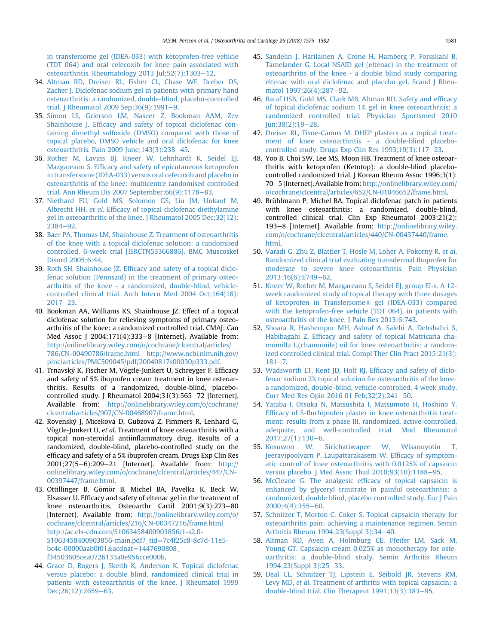<span id="page-6-0"></span>[in transfersome gel \(IDEA-033\) with ketoprofen-free vehicle](http://refhub.elsevier.com/S1063-4584(18)31427-4/sref33) [\(TDT 064\) and oral celecoxib for knee pain associated with](http://refhub.elsevier.com/S1063-4584(18)31427-4/sref33) [osteoarthritis. Rheumatology 2013 Jul;52\(7\):1303](http://refhub.elsevier.com/S1063-4584(18)31427-4/sref33)-[12.](http://refhub.elsevier.com/S1063-4584(18)31427-4/sref33)

- 34. [Altman RD, Dreiser RL, Fisher CL, Chase WF, Dreher DS,](http://refhub.elsevier.com/S1063-4584(18)31427-4/sref34) [Zacher J. Diclofenac sodium gel in patients with primary hand](http://refhub.elsevier.com/S1063-4584(18)31427-4/sref34) [osteoarthritis: a randomized, double-blind, placebo-controlled](http://refhub.elsevier.com/S1063-4584(18)31427-4/sref34) trial. J Rheumatol 200[9](http://refhub.elsevier.com/S1063-4584(18)31427-4/sref34) Sep;  $36(9)$ :  $1991-9$ .
- 35. [Simon LS, Grierson LM, Naseer Z, Bookman AAM, Zev](http://refhub.elsevier.com/S1063-4584(18)31427-4/sref35) Shainhouse J. Effi[cacy and safety of topical diclofenac con](http://refhub.elsevier.com/S1063-4584(18)31427-4/sref35)[taining dimethyl sulfoxide \(DMSO\) compared with those of](http://refhub.elsevier.com/S1063-4584(18)31427-4/sref35) [topical placebo, DMSO vehicle and oral diclofenac for knee](http://refhub.elsevier.com/S1063-4584(18)31427-4/sref35) osteoarthritis. Pain 2009 June; 143(3): 238-[45](http://refhub.elsevier.com/S1063-4584(18)31427-4/sref35).
- 36. [Rother M, Lavins BJ, Kneer W, Lehnhardt K, Seidel EJ,](http://refhub.elsevier.com/S1063-4584(18)31427-4/sref36) Mazgareanu S. Effi[cacy and safety of epicutaneous ketoprofen](http://refhub.elsevier.com/S1063-4584(18)31427-4/sref36) [in transfersome \(IDEA-033\) versus oral cefecoxib and placebo in](http://refhub.elsevier.com/S1063-4584(18)31427-4/sref36) [osteoarthritis of the knee: multicentre randomised controlled](http://refhub.elsevier.com/S1063-4584(18)31427-4/sref36) trial. Ann Rheum Dis 2007 September;  $66(9)$ : 1178-[83](http://refhub.elsevier.com/S1063-4584(18)31427-4/sref36).
- 37. [Niethard FU, Gold MS, Solomon GS, Liu JM, Unkauf M,](http://refhub.elsevier.com/S1063-4584(18)31427-4/sref37) Albrecht HH, et al. Effi[cacy of topical diclofenac diethylamine](http://refhub.elsevier.com/S1063-4584(18)31427-4/sref37) [gel in osteoarthritis of the knee. J Rheumatol 2005 Dec;32\(12\):](http://refhub.elsevier.com/S1063-4584(18)31427-4/sref37) [2384](http://refhub.elsevier.com/S1063-4584(18)31427-4/sref37)-92
- 38. [Baer PA, Thomas LM, Shainhouse Z. Treatment of osteoarthritis](http://refhub.elsevier.com/S1063-4584(18)31427-4/sref38) [of the knee with a topical diclofenac solution: a randomised](http://refhub.elsevier.com/S1063-4584(18)31427-4/sref38) [controlled, 6-week trial \[ISRCTN53366886\]. BMC Muscoskel](http://refhub.elsevier.com/S1063-4584(18)31427-4/sref38) [Disord 2005;6:44](http://refhub.elsevier.com/S1063-4584(18)31427-4/sref38).
- 39. Roth SH, Shainhouse JZ. Effi[cacy and safety of a topical diclo](http://refhub.elsevier.com/S1063-4584(18)31427-4/sref39)[fenac solution \(Pennsaid\) in the treatment of primary osteo](http://refhub.elsevier.com/S1063-4584(18)31427-4/sref39)[arthritis of the knee - a randomized, double-blind, vehicle](http://refhub.elsevier.com/S1063-4584(18)31427-4/sref39)[controlled clinical trial. Arch Intern Med 2004 Oct;164\(18\):](http://refhub.elsevier.com/S1063-4584(18)31427-4/sref39)  $2017 - 23$  $2017 - 23$ .
- 40. Bookman AA, Williams KS, Shainhouse JZ. Effect of a topical diclofenac solution for relieving symptoms of primary osteoarthritis of the knee: a randomized controlled trial. CMAJ: Can Med Assoc J 2004;171(4):333-8 [Internet]. Available from: [http://onlinelibrary.wiley.com/o/cochrane/clcentral/articles/](http://onlinelibrary.wiley.com/o/cochrane/clcentral/articles/786/CN-00490786/frame.html%20http://www.ncbi.nlm.nih.gov/pmc/articles/PMC509045/pdf/20040817s00030p333.pdf) [786/CN-00490786/frame.html http://www.ncbi.nlm.nih.gov/](http://onlinelibrary.wiley.com/o/cochrane/clcentral/articles/786/CN-00490786/frame.html%20http://www.ncbi.nlm.nih.gov/pmc/articles/PMC509045/pdf/20040817s00030p333.pdf) [pmc/articles/PMC509045/pdf/20040817s00030p333.pdf.](http://onlinelibrary.wiley.com/o/cochrane/clcentral/articles/786/CN-00490786/frame.html%20http://www.ncbi.nlm.nih.gov/pmc/articles/PMC509045/pdf/20040817s00030p333.pdf)
- 41. Trnavský K, Fischer M, Vögtle-Junkert U, Schreyger F. Efficacy and safety of 5% ibuprofen cream treatment in knee osteoarthritis. Results of a randomized, double-blind, placebocontrolled study. J Rheumatol 2004;31(3):565-72 [Internet]. Available from: [http://onlinelibrary.wiley.com/o/cochrane/](http://onlinelibrary.wiley.com/o/cochrane/clcentral/articles/907/CN-00468907/frame.html) [clcentral/articles/907/CN-00468907/frame.html.](http://onlinelibrary.wiley.com/o/cochrane/clcentral/articles/907/CN-00468907/frame.html)
- 42. Rovenský J, Miceková D, Gubzová Z, Fimmers R, Lenhard G, Vögtle-Junkert U, et al. Treatment of knee osteoarthritis with a topical non-steroidal antiinflammatory drug. Results of a randomized, double-blind, placebo-controlled study on the efficacy and safety of a 5% ibuprofen cream. Drugs Exp Clin Res 2001;27(5-6):209-21 [Internet]. Available from: [http://](http://onlinelibrary.wiley.com/o/cochrane/clcentral/articles/447/CN-00397447/frame.html) [onlinelibrary.wiley.com/o/cochrane/clcentral/articles/447/CN-](http://onlinelibrary.wiley.com/o/cochrane/clcentral/articles/447/CN-00397447/frame.html)[00397447/frame.html.](http://onlinelibrary.wiley.com/o/cochrane/clcentral/articles/447/CN-00397447/frame.html)
- 43. Ottillinger B, Gömör B, Michel BA, Pavelka K, Beck W, Elsasser U. Efficacy and safety of eltenac gel in the treatment of knee osteoarthritis. Osteoarthr Cartil 2001;9(3):273-80 [Internet]. Available from: [http://onlinelibrary.wiley.com/o/](http://onlinelibrary.wiley.com/o/cochrane/clcentral/articles/216/CN-00347216/frame.html%20http://ac.els-cdn.com/S1063458400903856/1-s2.0-S1063458400903856-main.pdf?_tid=7c4f25c8-8c7d-11e5-bc4c-00000aab0f01&acdnat=1447690808_f34503605cea0726133a0e956cce000b) [cochrane/clcentral/articles/216/CN-00347216/frame.html](http://onlinelibrary.wiley.com/o/cochrane/clcentral/articles/216/CN-00347216/frame.html%20http://ac.els-cdn.com/S1063458400903856/1-s2.0-S1063458400903856-main.pdf?_tid=7c4f25c8-8c7d-11e5-bc4c-00000aab0f01&acdnat=1447690808_f34503605cea0726133a0e956cce000b) [http://ac.els-cdn.com/S1063458400903856/1-s2.0-](http://onlinelibrary.wiley.com/o/cochrane/clcentral/articles/216/CN-00347216/frame.html%20http://ac.els-cdn.com/S1063458400903856/1-s2.0-S1063458400903856-main.pdf?_tid=7c4f25c8-8c7d-11e5-bc4c-00000aab0f01&acdnat=1447690808_f34503605cea0726133a0e956cce000b) [S1063458400903856-main.pdf?\\_tid](http://onlinelibrary.wiley.com/o/cochrane/clcentral/articles/216/CN-00347216/frame.html%20http://ac.els-cdn.com/S1063458400903856/1-s2.0-S1063458400903856-main.pdf?_tid=7c4f25c8-8c7d-11e5-bc4c-00000aab0f01&acdnat=1447690808_f34503605cea0726133a0e956cce000b)=[7c4f25c8-8c7d-11e5](http://onlinelibrary.wiley.com/o/cochrane/clcentral/articles/216/CN-00347216/frame.html%20http://ac.els-cdn.com/S1063458400903856/1-s2.0-S1063458400903856-main.pdf?_tid=7c4f25c8-8c7d-11e5-bc4c-00000aab0f01&acdnat=1447690808_f34503605cea0726133a0e956cce000b) [bc4c-00000aab0f01](http://onlinelibrary.wiley.com/o/cochrane/clcentral/articles/216/CN-00347216/frame.html%20http://ac.els-cdn.com/S1063458400903856/1-s2.0-S1063458400903856-main.pdf?_tid=7c4f25c8-8c7d-11e5-bc4c-00000aab0f01&acdnat=1447690808_f34503605cea0726133a0e956cce000b)&[acdnat](http://onlinelibrary.wiley.com/o/cochrane/clcentral/articles/216/CN-00347216/frame.html%20http://ac.els-cdn.com/S1063458400903856/1-s2.0-S1063458400903856-main.pdf?_tid=7c4f25c8-8c7d-11e5-bc4c-00000aab0f01&acdnat=1447690808_f34503605cea0726133a0e956cce000b)=[1447690808\\_](http://onlinelibrary.wiley.com/o/cochrane/clcentral/articles/216/CN-00347216/frame.html%20http://ac.els-cdn.com/S1063458400903856/1-s2.0-S1063458400903856-main.pdf?_tid=7c4f25c8-8c7d-11e5-bc4c-00000aab0f01&acdnat=1447690808_f34503605cea0726133a0e956cce000b) [f34503605cea0726133a0e956cce000b.](http://onlinelibrary.wiley.com/o/cochrane/clcentral/articles/216/CN-00347216/frame.html%20http://ac.els-cdn.com/S1063458400903856/1-s2.0-S1063458400903856-main.pdf?_tid=7c4f25c8-8c7d-11e5-bc4c-00000aab0f01&acdnat=1447690808_f34503605cea0726133a0e956cce000b)
- 44. [Grace D, Rogers J, Skeith K, Anderson K. Topical diclofenac](http://refhub.elsevier.com/S1063-4584(18)31427-4/sref44) [versus placebo: a double blind, randomized clinical trial in](http://refhub.elsevier.com/S1063-4584(18)31427-4/sref44) [patients with osteoarthritis of the knee. J Rheumatol 1999](http://refhub.elsevier.com/S1063-4584(18)31427-4/sref44) Dec; 26(12): 2659-[63](http://refhub.elsevier.com/S1063-4584(18)31427-4/sref44).
- 45. [Sandelin J, Harilainen A, Crone H, Hamberg P, Forsskahl B,](http://refhub.elsevier.com/S1063-4584(18)31427-4/sref45) [Tamelander G. Local NSAID gel \(eltenac\) in the treatment of](http://refhub.elsevier.com/S1063-4584(18)31427-4/sref45) [osteoarthritis of the knee - a double blind study comparing](http://refhub.elsevier.com/S1063-4584(18)31427-4/sref45) [eltenac with oral diclofenac and placebo gel. Scand J Rheu](http://refhub.elsevier.com/S1063-4584(18)31427-4/sref45)[matol 1997;26\(4\):287](http://refhub.elsevier.com/S1063-4584(18)31427-4/sref45)-[92](http://refhub.elsevier.com/S1063-4584(18)31427-4/sref45).
- 46. [Baraf HSB, Gold MS, Clark MB, Altman RD. Safety and ef](http://refhub.elsevier.com/S1063-4584(18)31427-4/sref46)ficacy [of topical diclofenac sodium 1% gel in knee osteoarthritis: a](http://refhub.elsevier.com/S1063-4584(18)31427-4/sref46) [randomized controlled trial. Physician Sportsmed 2010](http://refhub.elsevier.com/S1063-4584(18)31427-4/sref46)  $\text{Jun:38(2):19-28.}$  $\text{Jun:38(2):19-28.}$  $\text{Jun:38(2):19-28.}$
- 47. [Dreiser RL, Tisne-Camus M. DHEP plasters as a topical treat](http://refhub.elsevier.com/S1063-4584(18)31427-4/sref47)[ment of knee osteoarthritis - a double-blind placebo](http://refhub.elsevier.com/S1063-4584(18)31427-4/sref47)controlled study. Drugs Exp Clin Res  $1993;19(3):117-23$ .
- 48. Yoo B, Choi SW, Lee MS, Moon HB. Treatment of knee osteoarthritis with ketoprofen (Ketotop): a double-blind placebocontrolled randomized trial. J Korean Rheum Assoc 1996;3(1): 70–5 [Internet]. Available from: [http://onlinelibrary.wiley.com/](http://onlinelibrary.wiley.com/o/cochrane/clcentral/articles/652/CN-01046652/frame.html) [o/cochrane/clcentral/articles/652/CN-01046652/frame.html](http://onlinelibrary.wiley.com/o/cochrane/clcentral/articles/652/CN-01046652/frame.html).
- 49. Brühlmann P, Michel BA. Topical diclofenac patch in patients with knee osteoarthritis: a randomized, double-blind, controlled clinical trial. Clin Exp Rheumatol 2003;21(2): 193-8 [Internet]. Available from: [http://onlinelibrary.wiley.](http://onlinelibrary.wiley.com/o/cochrane/clcentral/articles/440/CN-00437440/frame.html) [com/o/cochrane/clcentral/articles/440/CN-00437440/frame.](http://onlinelibrary.wiley.com/o/cochrane/clcentral/articles/440/CN-00437440/frame.html) [html.](http://onlinelibrary.wiley.com/o/cochrane/clcentral/articles/440/CN-00437440/frame.html)
- 50. [Varadi G, Zhu Z, Blattler T, Hosle M, Loher A, Pokorny R,](http://refhub.elsevier.com/S1063-4584(18)31427-4/sref50) et al. [Randomized clinical trial evaluating transdermal Ibuprofen for](http://refhub.elsevier.com/S1063-4584(18)31427-4/sref50) [moderate to severe knee osteoarthritis. Pain Physician](http://refhub.elsevier.com/S1063-4584(18)31427-4/sref50)  $2013:16(6):E749-62.$  $2013:16(6):E749-62.$  $2013:16(6):E749-62.$
- 51. [Kneer W, Rother M, Mazgareanu S, Seidel EJ, group EI-s. A 12](http://refhub.elsevier.com/S1063-4584(18)31427-4/sref51) [week randomized study of topical therapy with three dosages](http://refhub.elsevier.com/S1063-4584(18)31427-4/sref51) [of ketoprofen in Transfersome](http://refhub.elsevier.com/S1063-4584(18)31427-4/sref51)® gel (IDEA-033) compared [with the ketoprofen-free vehicle \(TDT 064\), in patients with](http://refhub.elsevier.com/S1063-4584(18)31427-4/sref51) [osteoarthritis of the knee. J Pain Res 2013;6:743](http://refhub.elsevier.com/S1063-4584(18)31427-4/sref51).
- 52. [Shoara R, Hashempur MH, Ashraf A, Salehi A, Dehshahri S,](http://refhub.elsevier.com/S1063-4584(18)31427-4/sref52) Habibagahi Z. Effi[cacy and safety of topical Matricaria cha](http://refhub.elsevier.com/S1063-4584(18)31427-4/sref52)[momilla L.\(chamomile\) oil for knee osteoarthritis: a random](http://refhub.elsevier.com/S1063-4584(18)31427-4/sref52)[ized controlled clinical trial. Compl Ther Clin Pract 2015;21\(3\):](http://refhub.elsevier.com/S1063-4584(18)31427-4/sref52)  $181 - 7.$  $181 - 7.$  $181 - 7.$  $181 - 7.$
- 53. [Wadsworth LT, Kent JD, Holt RJ. Ef](http://refhub.elsevier.com/S1063-4584(18)31427-4/sref53)ficacy and safety of diclo[fenac sodium 2% topical solution for osteoarthritis of the knee:](http://refhub.elsevier.com/S1063-4584(18)31427-4/sref53) [a randomized, double-blind, vehicle-controlled, 4 week study.](http://refhub.elsevier.com/S1063-4584(18)31427-4/sref53) Curr Med Res Opin 2016 01 Feb; 32(2): 241-[50.](http://refhub.elsevier.com/S1063-4584(18)31427-4/sref53)
- 54. [Yataba I, Otsuka N, Matsushita I, Matsumoto H, Hoshino Y.](http://refhub.elsevier.com/S1063-4584(18)31427-4/sref54) Efficacy of S-fl[urbiprofen plaster in knee osteoarthritis treat](http://refhub.elsevier.com/S1063-4584(18)31427-4/sref54)[ment: results from a phase III, randomized, active-controlled,](http://refhub.elsevier.com/S1063-4584(18)31427-4/sref54) [adequate, and well-controlled trial. Mod Rheumatol](http://refhub.elsevier.com/S1063-4584(18)31427-4/sref54) [2017;27\(1\):130](http://refhub.elsevier.com/S1063-4584(18)31427-4/sref54)-[6.](http://refhub.elsevier.com/S1063-4584(18)31427-4/sref54)
- 55. [Kosuwon W, Sirichatiwapee W, Wisanuyotin T,](http://refhub.elsevier.com/S1063-4584(18)31427-4/sref55) [Jeeravipoolvarn P, Laupattarakasem W. Ef](http://refhub.elsevier.com/S1063-4584(18)31427-4/sref55)ficacy of symptom[atic control of knee osteoarthritis with 0.0125% of capsaicin](http://refhub.elsevier.com/S1063-4584(18)31427-4/sref55) versus placebo. J Med Assoc Thail  $2010;93(10):1188-95$  $2010;93(10):1188-95$ .
- 56. [McCleane G. The analgesic ef](http://refhub.elsevier.com/S1063-4584(18)31427-4/sref56)ficacy of topical capsaicin is [enhanced by glyceryl trinitrate in painful osteoarthritis: a](http://refhub.elsevier.com/S1063-4584(18)31427-4/sref56) [randomized, double blind, placebo controlled study. Eur J Pain](http://refhub.elsevier.com/S1063-4584(18)31427-4/sref56) [2000;4\(4\):355](http://refhub.elsevier.com/S1063-4584(18)31427-4/sref56)-[60.](http://refhub.elsevier.com/S1063-4584(18)31427-4/sref56)
- 57. [Schnitzer T, Morton C, Coker S. Topical capsaicin therapy for](http://refhub.elsevier.com/S1063-4584(18)31427-4/sref57) [osteoarthritis pain: achieving a maintenance regimen. Semin](http://refhub.elsevier.com/S1063-4584(18)31427-4/sref57) [Arthritis Rheum 1994;23\(Suppl 3\):34](http://refhub.elsevier.com/S1063-4584(18)31427-4/sref57)-[40](http://refhub.elsevier.com/S1063-4584(18)31427-4/sref57).
- 58. [Altman RD, Aven A, Holmburg CE, Pfeifer LM, Sack M,](http://refhub.elsevier.com/S1063-4584(18)31427-4/sref58) [Young GT. Capsaicin cream 0.025% as monotherapy for oste](http://refhub.elsevier.com/S1063-4584(18)31427-4/sref58)[oarthritis: a double-blind study. Semin Arthritis Rheum](http://refhub.elsevier.com/S1063-4584(18)31427-4/sref58) [1994;23\(Suppl 3\):25](http://refhub.elsevier.com/S1063-4584(18)31427-4/sref58)-[33](http://refhub.elsevier.com/S1063-4584(18)31427-4/sref58).
- 59. [Deal CL, Schnitzer TJ, Lipstein E, Seibold JR, Stevens RM,](http://refhub.elsevier.com/S1063-4584(18)31427-4/sref59) Levy MD, et al[. Treatment of arthritis with topical capsaicin: a](http://refhub.elsevier.com/S1063-4584(18)31427-4/sref59) double-blind trial. Clin Therapeut  $1991;13(3):383-95$  $1991;13(3):383-95$ .